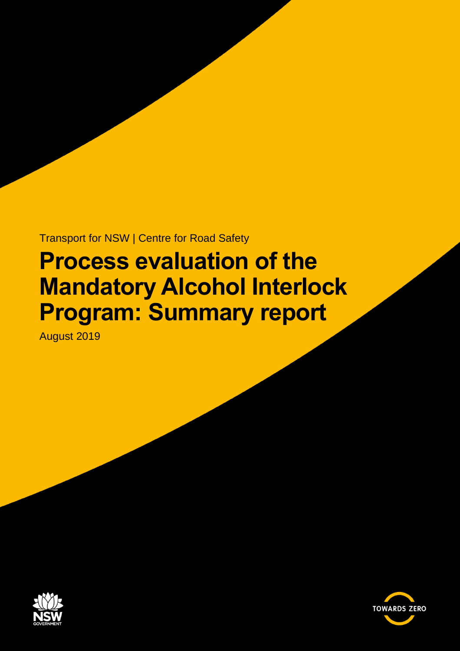Transport for NSW | Centre for Road Safety

# **Process evaluation of the Mandatory Alcohol Interlock Program: Summary report**

August 2019



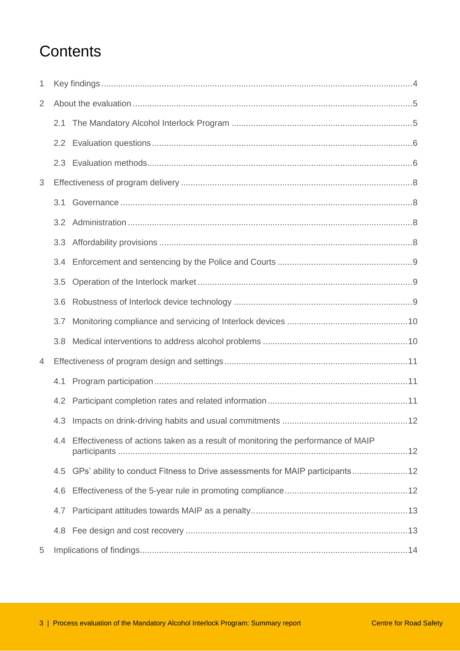# **Contents**

| 1              |     |                                                                                  |  |
|----------------|-----|----------------------------------------------------------------------------------|--|
| $\overline{2}$ |     |                                                                                  |  |
|                | 2.1 |                                                                                  |  |
|                |     |                                                                                  |  |
|                |     |                                                                                  |  |
| 3              |     |                                                                                  |  |
|                | 3.1 |                                                                                  |  |
|                |     |                                                                                  |  |
|                | 3.3 |                                                                                  |  |
|                | 3.4 |                                                                                  |  |
|                | 3.5 |                                                                                  |  |
|                | 3.6 |                                                                                  |  |
|                | 3.7 |                                                                                  |  |
|                | 3.8 |                                                                                  |  |
| 4              |     |                                                                                  |  |
|                | 4.1 |                                                                                  |  |
|                |     |                                                                                  |  |
|                |     |                                                                                  |  |
|                | 4.4 | Effectiveness of actions taken as a result of monitoring the performance of MAIP |  |
|                | 4.5 |                                                                                  |  |
|                | 4.6 |                                                                                  |  |
|                | 4.7 |                                                                                  |  |
|                |     |                                                                                  |  |
| 5              |     |                                                                                  |  |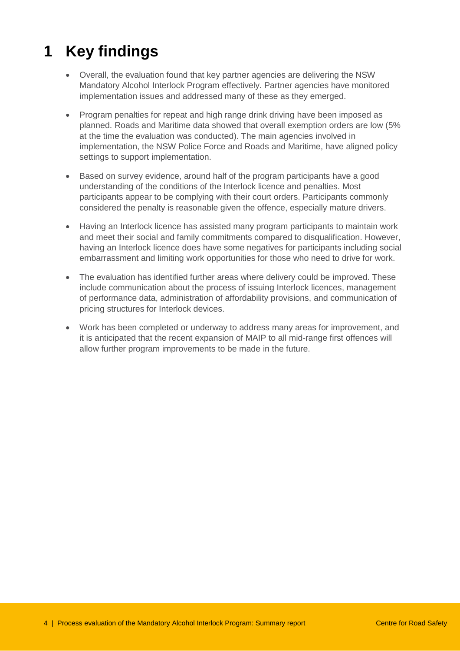# <span id="page-3-0"></span>**1 Key findings**

- Overall, the evaluation found that key partner agencies are delivering the NSW Mandatory Alcohol Interlock Program effectively. Partner agencies have monitored implementation issues and addressed many of these as they emerged.
- Program penalties for repeat and high range drink driving have been imposed as planned. Roads and Maritime data showed that overall exemption orders are low (5% at the time the evaluation was conducted). The main agencies involved in implementation, the NSW Police Force and Roads and Maritime, have aligned policy settings to support implementation.
- Based on survey evidence, around half of the program participants have a good understanding of the conditions of the Interlock licence and penalties. Most participants appear to be complying with their court orders. Participants commonly considered the penalty is reasonable given the offence, especially mature drivers.
- Having an Interlock licence has assisted many program participants to maintain work and meet their social and family commitments compared to disqualification. However, having an Interlock licence does have some negatives for participants including social embarrassment and limiting work opportunities for those who need to drive for work.
- The evaluation has identified further areas where delivery could be improved. These include communication about the process of issuing Interlock licences, management of performance data, administration of affordability provisions, and communication of pricing structures for Interlock devices.
- Work has been completed or underway to address many areas for improvement, and it is anticipated that the recent expansion of MAIP to all mid-range first offences will allow further program improvements to be made in the future.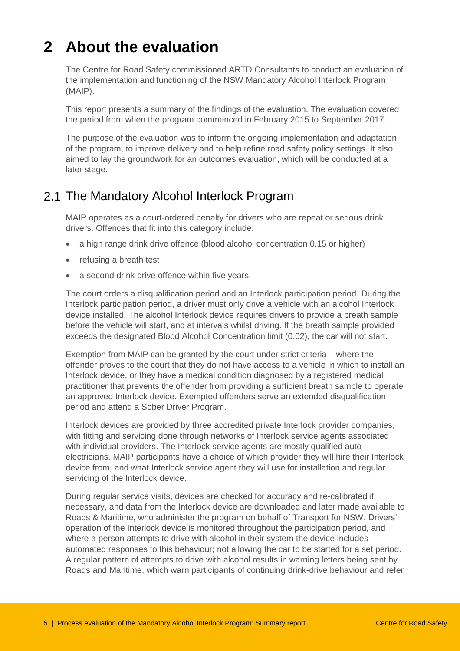# <span id="page-4-0"></span>**2 About the evaluation**

The Centre for Road Safety commissioned ARTD Consultants to conduct an evaluation of the implementation and functioning of the NSW Mandatory Alcohol Interlock Program (MAIP).

This report presents a summary of the findings of the evaluation. The evaluation covered the period from when the program commenced in February 2015 to September 2017.

The purpose of the evaluation was to inform the ongoing implementation and adaptation of the program, to improve delivery and to help refine road safety policy settings. It also aimed to lay the groundwork for an outcomes evaluation, which will be conducted at a later stage.

#### <span id="page-4-1"></span>2.1 The Mandatory Alcohol Interlock Program

MAIP operates as a court-ordered penalty for drivers who are repeat or serious drink drivers. Offences that fit into this category include:

- a high range drink drive offence (blood alcohol concentration 0.15 or higher)
- refusing a breath test
- a second drink drive offence within five years.

The court orders a disqualification period and an Interlock participation period. During the Interlock participation period, a driver must only drive a vehicle with an alcohol Interlock device installed. The alcohol Interlock device requires drivers to provide a breath sample before the vehicle will start, and at intervals whilst driving. If the breath sample provided exceeds the designated Blood Alcohol Concentration limit (0.02), the car will not start.

Exemption from MAIP can be granted by the court under strict criteria – where the offender proves to the court that they do not have access to a vehicle in which to install an Interlock device, or they have a medical condition diagnosed by a registered medical practitioner that prevents the offender from providing a sufficient breath sample to operate an approved Interlock device. Exempted offenders serve an extended disqualification period and attend a Sober Driver Program.

Interlock devices are provided by three accredited private Interlock provider companies, with fitting and servicing done through networks of Interlock service agents associated with individual providers. The Interlock service agents are mostly qualified autoelectricians. MAIP participants have a choice of which provider they will hire their Interlock device from, and what Interlock service agent they will use for installation and regular servicing of the Interlock device.

During regular service visits, devices are checked for accuracy and re-calibrated if necessary, and data from the Interlock device are downloaded and later made available to Roads & Maritime, who administer the program on behalf of Transport for NSW. Drivers' operation of the Interlock device is monitored throughout the participation period, and where a person attempts to drive with alcohol in their system the device includes automated responses to this behaviour; not allowing the car to be started for a set period. A regular pattern of attempts to drive with alcohol results in warning letters being sent by Roads and Maritime, which warn participants of continuing drink-drive behaviour and refer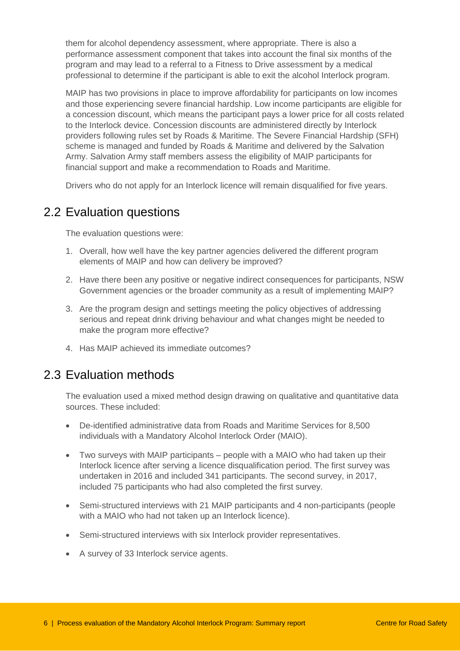them for alcohol dependency assessment, where appropriate. There is also a performance assessment component that takes into account the final six months of the program and may lead to a referral to a Fitness to Drive assessment by a medical professional to determine if the participant is able to exit the alcohol Interlock program.

MAIP has two provisions in place to improve affordability for participants on low incomes and those experiencing severe financial hardship. Low income participants are eligible for a concession discount, which means the participant pays a lower price for all costs related to the Interlock device. Concession discounts are administered directly by Interlock providers following rules set by Roads & Maritime. The Severe Financial Hardship (SFH) scheme is managed and funded by Roads & Maritime and delivered by the Salvation Army. Salvation Army staff members assess the eligibility of MAIP participants for financial support and make a recommendation to Roads and Maritime.

Drivers who do not apply for an Interlock licence will remain disqualified for five years.

#### <span id="page-5-0"></span>2.2 Evaluation questions

The evaluation questions were:

- 1. Overall, how well have the key partner agencies delivered the different program elements of MAIP and how can delivery be improved?
- 2. Have there been any positive or negative indirect consequences for participants, NSW Government agencies or the broader community as a result of implementing MAIP?
- 3. Are the program design and settings meeting the policy objectives of addressing serious and repeat drink driving behaviour and what changes might be needed to make the program more effective?
- 4. Has MAIP achieved its immediate outcomes?

#### <span id="page-5-1"></span>2.3 Evaluation methods

The evaluation used a mixed method design drawing on qualitative and quantitative data sources. These included:

- De-identified administrative data from Roads and Maritime Services for 8,500 individuals with a Mandatory Alcohol Interlock Order (MAIO).
- Two surveys with MAIP participants people with a MAIO who had taken up their Interlock licence after serving a licence disqualification period. The first survey was undertaken in 2016 and included 341 participants. The second survey, in 2017, included 75 participants who had also completed the first survey.
- Semi-structured interviews with 21 MAIP participants and 4 non-participants (people with a MAIO who had not taken up an Interlock licence).
- Semi-structured interviews with six Interlock provider representatives.
- A survey of 33 Interlock service agents.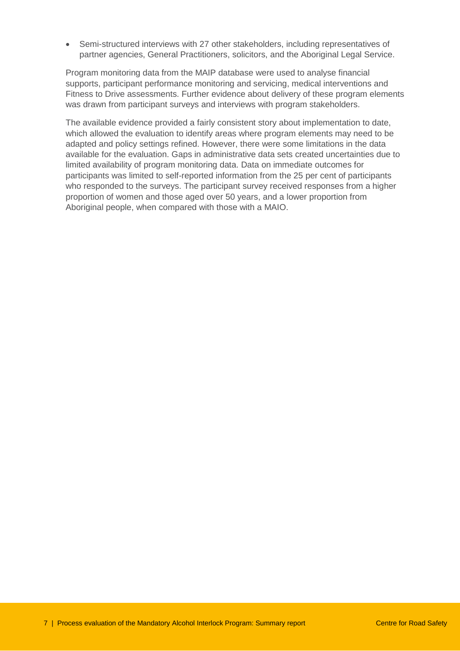Semi-structured interviews with 27 other stakeholders, including representatives of partner agencies, General Practitioners, solicitors, and the Aboriginal Legal Service.

Program monitoring data from the MAIP database were used to analyse financial supports, participant performance monitoring and servicing, medical interventions and Fitness to Drive assessments. Further evidence about delivery of these program elements was drawn from participant surveys and interviews with program stakeholders.

The available evidence provided a fairly consistent story about implementation to date, which allowed the evaluation to identify areas where program elements may need to be adapted and policy settings refined. However, there were some limitations in the data available for the evaluation. Gaps in administrative data sets created uncertainties due to limited availability of program monitoring data. Data on immediate outcomes for participants was limited to self-reported information from the 25 per cent of participants who responded to the surveys. The participant survey received responses from a higher proportion of women and those aged over 50 years, and a lower proportion from Aboriginal people, when compared with those with a MAIO.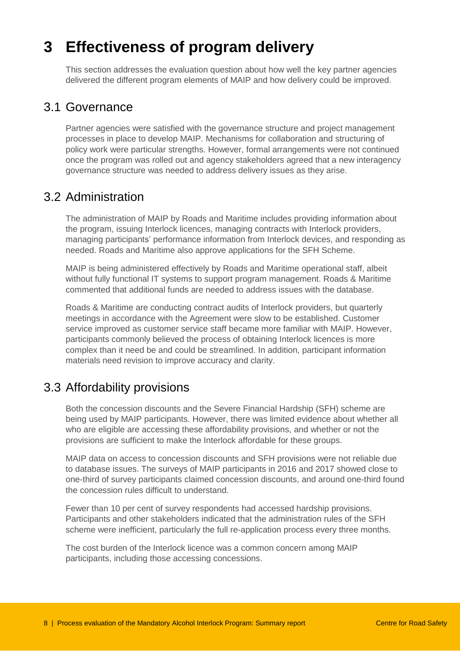# <span id="page-7-0"></span>**3 Effectiveness of program delivery**

This section addresses the evaluation question about how well the key partner agencies delivered the different program elements of MAIP and how delivery could be improved.

#### <span id="page-7-1"></span>3.1 Governance

Partner agencies were satisfied with the governance structure and project management processes in place to develop MAIP. Mechanisms for collaboration and structuring of policy work were particular strengths. However, formal arrangements were not continued once the program was rolled out and agency stakeholders agreed that a new interagency governance structure was needed to address delivery issues as they arise.

#### <span id="page-7-2"></span>3.2 Administration

The administration of MAIP by Roads and Maritime includes providing information about the program, issuing Interlock licences, managing contracts with Interlock providers, managing participants' performance information from Interlock devices, and responding as needed. Roads and Maritime also approve applications for the SFH Scheme.

MAIP is being administered effectively by Roads and Maritime operational staff, albeit without fully functional IT systems to support program management. Roads & Maritime commented that additional funds are needed to address issues with the database.

Roads & Maritime are conducting contract audits of Interlock providers, but quarterly meetings in accordance with the Agreement were slow to be established. Customer service improved as customer service staff became more familiar with MAIP. However, participants commonly believed the process of obtaining Interlock licences is more complex than it need be and could be streamlined. In addition, participant information materials need revision to improve accuracy and clarity.

### <span id="page-7-3"></span>3.3 Affordability provisions

Both the concession discounts and the Severe Financial Hardship (SFH) scheme are being used by MAIP participants. However, there was limited evidence about whether all who are eligible are accessing these affordability provisions, and whether or not the provisions are sufficient to make the Interlock affordable for these groups.

MAIP data on access to concession discounts and SFH provisions were not reliable due to database issues. The surveys of MAIP participants in 2016 and 2017 showed close to one-third of survey participants claimed concession discounts, and around one-third found the concession rules difficult to understand.

Fewer than 10 per cent of survey respondents had accessed hardship provisions. Participants and other stakeholders indicated that the administration rules of the SFH scheme were inefficient, particularly the full re-application process every three months.

The cost burden of the Interlock licence was a common concern among MAIP participants, including those accessing concessions.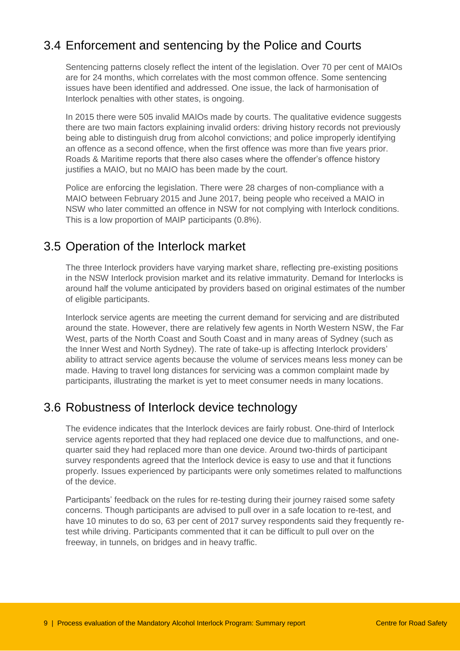### <span id="page-8-0"></span>3.4 Enforcement and sentencing by the Police and Courts

Sentencing patterns closely reflect the intent of the legislation. Over 70 per cent of MAIOs are for 24 months, which correlates with the most common offence. Some sentencing issues have been identified and addressed. One issue, the lack of harmonisation of Interlock penalties with other states, is ongoing.

In 2015 there were 505 invalid MAIOs made by courts. The qualitative evidence suggests there are two main factors explaining invalid orders: driving history records not previously being able to distinguish drug from alcohol convictions; and police improperly identifying an offence as a second offence, when the first offence was more than five years prior. Roads & Maritime reports that there also cases where the offender's offence history justifies a MAIO, but no MAIO has been made by the court.

Police are enforcing the legislation. There were 28 charges of non-compliance with a MAIO between February 2015 and June 2017, being people who received a MAIO in NSW who later committed an offence in NSW for not complying with Interlock conditions. This is a low proportion of MAIP participants (0.8%).

#### <span id="page-8-1"></span>3.5 Operation of the Interlock market

The three Interlock providers have varying market share, reflecting pre-existing positions in the NSW Interlock provision market and its relative immaturity. Demand for Interlocks is around half the volume anticipated by providers based on original estimates of the number of eligible participants.

Interlock service agents are meeting the current demand for servicing and are distributed around the state. However, there are relatively few agents in North Western NSW, the Far West, parts of the North Coast and South Coast and in many areas of Sydney (such as the Inner West and North Sydney). The rate of take-up is affecting Interlock providers' ability to attract service agents because the volume of services means less money can be made. Having to travel long distances for servicing was a common complaint made by participants, illustrating the market is yet to meet consumer needs in many locations.

### <span id="page-8-2"></span>3.6 Robustness of Interlock device technology

The evidence indicates that the Interlock devices are fairly robust. One-third of Interlock service agents reported that they had replaced one device due to malfunctions, and onequarter said they had replaced more than one device. Around two-thirds of participant survey respondents agreed that the Interlock device is easy to use and that it functions properly. Issues experienced by participants were only sometimes related to malfunctions of the device.

Participants' feedback on the rules for re-testing during their journey raised some safety concerns. Though participants are advised to pull over in a safe location to re-test, and have 10 minutes to do so, 63 per cent of 2017 survey respondents said they frequently retest while driving. Participants commented that it can be difficult to pull over on the freeway, in tunnels, on bridges and in heavy traffic.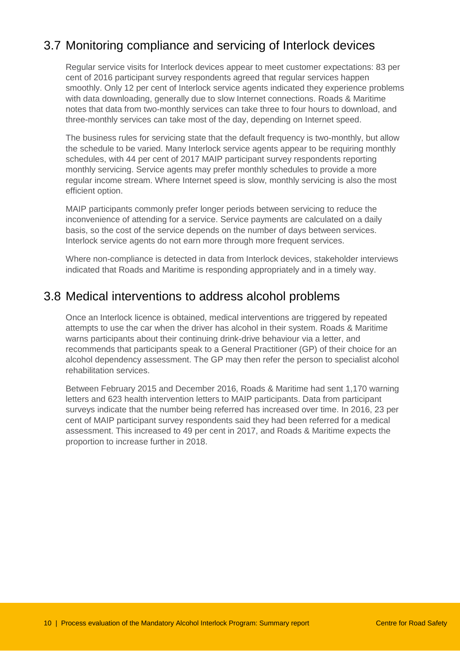### <span id="page-9-0"></span>3.7 Monitoring compliance and servicing of Interlock devices

Regular service visits for Interlock devices appear to meet customer expectations: 83 per cent of 2016 participant survey respondents agreed that regular services happen smoothly. Only 12 per cent of Interlock service agents indicated they experience problems with data downloading, generally due to slow Internet connections. Roads & Maritime notes that data from two-monthly services can take three to four hours to download, and three-monthly services can take most of the day, depending on Internet speed.

The business rules for servicing state that the default frequency is two-monthly, but allow the schedule to be varied. Many Interlock service agents appear to be requiring monthly schedules, with 44 per cent of 2017 MAIP participant survey respondents reporting monthly servicing. Service agents may prefer monthly schedules to provide a more regular income stream. Where Internet speed is slow, monthly servicing is also the most efficient option.

MAIP participants commonly prefer longer periods between servicing to reduce the inconvenience of attending for a service. Service payments are calculated on a daily basis, so the cost of the service depends on the number of days between services. Interlock service agents do not earn more through more frequent services.

Where non-compliance is detected in data from Interlock devices, stakeholder interviews indicated that Roads and Maritime is responding appropriately and in a timely way.

#### <span id="page-9-1"></span>3.8 Medical interventions to address alcohol problems

Once an Interlock licence is obtained, medical interventions are triggered by repeated attempts to use the car when the driver has alcohol in their system. Roads & Maritime warns participants about their continuing drink-drive behaviour via a letter, and recommends that participants speak to a General Practitioner (GP) of their choice for an alcohol dependency assessment. The GP may then refer the person to specialist alcohol rehabilitation services.

Between February 2015 and December 2016, Roads & Maritime had sent 1,170 warning letters and 623 health intervention letters to MAIP participants. Data from participant surveys indicate that the number being referred has increased over time. In 2016, 23 per cent of MAIP participant survey respondents said they had been referred for a medical assessment. This increased to 49 per cent in 2017, and Roads & Maritime expects the proportion to increase further in 2018.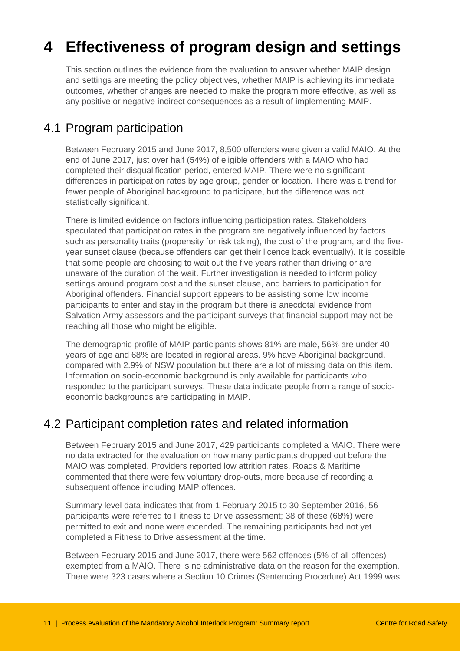# <span id="page-10-0"></span>**4 Effectiveness of program design and settings**

This section outlines the evidence from the evaluation to answer whether MAIP design and settings are meeting the policy objectives, whether MAIP is achieving its immediate outcomes, whether changes are needed to make the program more effective, as well as any positive or negative indirect consequences as a result of implementing MAIP.

### <span id="page-10-1"></span>4.1 Program participation

Between February 2015 and June 2017, 8,500 offenders were given a valid MAIO. At the end of June 2017, just over half (54%) of eligible offenders with a MAIO who had completed their disqualification period, entered MAIP. There were no significant differences in participation rates by age group, gender or location. There was a trend for fewer people of Aboriginal background to participate, but the difference was not statistically significant.

There is limited evidence on factors influencing participation rates. Stakeholders speculated that participation rates in the program are negatively influenced by factors such as personality traits (propensity for risk taking), the cost of the program, and the fiveyear sunset clause (because offenders can get their licence back eventually). It is possible that some people are choosing to wait out the five years rather than driving or are unaware of the duration of the wait. Further investigation is needed to inform policy settings around program cost and the sunset clause, and barriers to participation for Aboriginal offenders. Financial support appears to be assisting some low income participants to enter and stay in the program but there is anecdotal evidence from Salvation Army assessors and the participant surveys that financial support may not be reaching all those who might be eligible.

The demographic profile of MAIP participants shows 81% are male, 56% are under 40 years of age and 68% are located in regional areas. 9% have Aboriginal background, compared with 2.9% of NSW population but there are a lot of missing data on this item. Information on socio-economic background is only available for participants who responded to the participant surveys. These data indicate people from a range of socioeconomic backgrounds are participating in MAIP.

### <span id="page-10-2"></span>4.2 Participant completion rates and related information

Between February 2015 and June 2017, 429 participants completed a MAIO. There were no data extracted for the evaluation on how many participants dropped out before the MAIO was completed. Providers reported low attrition rates. Roads & Maritime commented that there were few voluntary drop-outs, more because of recording a subsequent offence including MAIP offences.

Summary level data indicates that from 1 February 2015 to 30 September 2016, 56 participants were referred to Fitness to Drive assessment; 38 of these (68%) were permitted to exit and none were extended. The remaining participants had not yet completed a Fitness to Drive assessment at the time.

Between February 2015 and June 2017, there were 562 offences (5% of all offences) exempted from a MAIO. There is no administrative data on the reason for the exemption. There were 323 cases where a Section 10 Crimes (Sentencing Procedure) Act 1999 was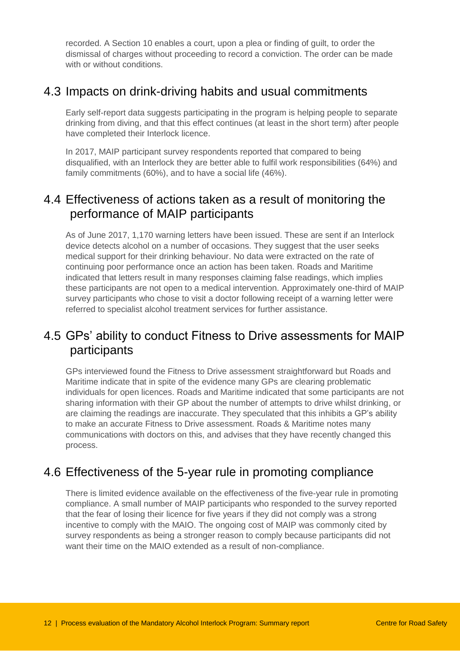recorded. A Section 10 enables a court, upon a plea or finding of guilt, to order the dismissal of charges without proceeding to record a conviction. The order can be made with or without conditions.

#### <span id="page-11-0"></span>4.3 Impacts on drink-driving habits and usual commitments

Early self-report data suggests participating in the program is helping people to separate drinking from diving, and that this effect continues (at least in the short term) after people have completed their Interlock licence.

In 2017, MAIP participant survey respondents reported that compared to being disqualified, with an Interlock they are better able to fulfil work responsibilities (64%) and family commitments (60%), and to have a social life (46%).

### <span id="page-11-1"></span>4.4 Effectiveness of actions taken as a result of monitoring the performance of MAIP participants

As of June 2017, 1,170 warning letters have been issued. These are sent if an Interlock device detects alcohol on a number of occasions. They suggest that the user seeks medical support for their drinking behaviour. No data were extracted on the rate of continuing poor performance once an action has been taken. Roads and Maritime indicated that letters result in many responses claiming false readings, which implies these participants are not open to a medical intervention. Approximately one-third of MAIP survey participants who chose to visit a doctor following receipt of a warning letter were referred to specialist alcohol treatment services for further assistance.

### <span id="page-11-2"></span>4.5 GPs' ability to conduct Fitness to Drive assessments for MAIP participants

GPs interviewed found the Fitness to Drive assessment straightforward but Roads and Maritime indicate that in spite of the evidence many GPs are clearing problematic individuals for open licences. Roads and Maritime indicated that some participants are not sharing information with their GP about the number of attempts to drive whilst drinking, or are claiming the readings are inaccurate. They speculated that this inhibits a GP's ability to make an accurate Fitness to Drive assessment. Roads & Maritime notes many communications with doctors on this, and advises that they have recently changed this process.

#### <span id="page-11-3"></span>4.6 Effectiveness of the 5-year rule in promoting compliance

There is limited evidence available on the effectiveness of the five-year rule in promoting compliance. A small number of MAIP participants who responded to the survey reported that the fear of losing their licence for five years if they did not comply was a strong incentive to comply with the MAIO. The ongoing cost of MAIP was commonly cited by survey respondents as being a stronger reason to comply because participants did not want their time on the MAIO extended as a result of non-compliance.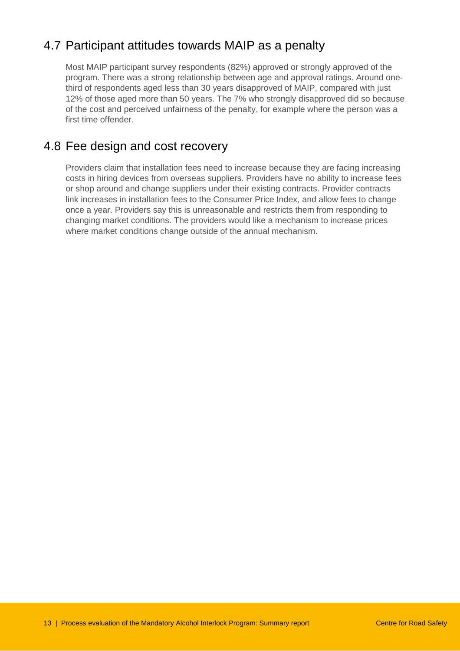## <span id="page-12-0"></span>4.7 Participant attitudes towards MAIP as a penalty

Most MAIP participant survey respondents (82%) approved or strongly approved of the program. There was a strong relationship between age and approval ratings. Around onethird of respondents aged less than 30 years disapproved of MAIP, compared with just 12% of those aged more than 50 years. The 7% who strongly disapproved did so because of the cost and perceived unfairness of the penalty, for example where the person was a first time offender.

### <span id="page-12-1"></span>4.8 Fee design and cost recovery

Providers claim that installation fees need to increase because they are facing increasing costs in hiring devices from overseas suppliers. Providers have no ability to increase fees or shop around and change suppliers under their existing contracts. Provider contracts link increases in installation fees to the Consumer Price Index, and allow fees to change once a year. Providers say this is unreasonable and restricts them from responding to changing market conditions. The providers would like a mechanism to increase prices where market conditions change outside of the annual mechanism.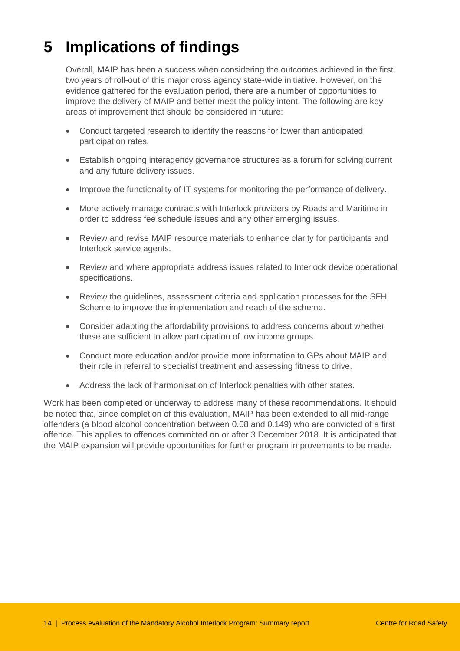# <span id="page-13-0"></span>**5 Implications of findings**

Overall, MAIP has been a success when considering the outcomes achieved in the first two years of roll-out of this major cross agency state-wide initiative. However, on the evidence gathered for the evaluation period, there are a number of opportunities to improve the delivery of MAIP and better meet the policy intent. The following are key areas of improvement that should be considered in future:

- Conduct targeted research to identify the reasons for lower than anticipated participation rates.
- Establish ongoing interagency governance structures as a forum for solving current and any future delivery issues.
- Improve the functionality of IT systems for monitoring the performance of delivery.
- More actively manage contracts with Interlock providers by Roads and Maritime in order to address fee schedule issues and any other emerging issues.
- Review and revise MAIP resource materials to enhance clarity for participants and Interlock service agents.
- Review and where appropriate address issues related to Interlock device operational specifications.
- Review the guidelines, assessment criteria and application processes for the SFH Scheme to improve the implementation and reach of the scheme.
- Consider adapting the affordability provisions to address concerns about whether these are sufficient to allow participation of low income groups.
- Conduct more education and/or provide more information to GPs about MAIP and their role in referral to specialist treatment and assessing fitness to drive.
- Address the lack of harmonisation of Interlock penalties with other states.

Work has been completed or underway to address many of these recommendations. It should be noted that, since completion of this evaluation, MAIP has been extended to all mid-range offenders (a blood alcohol concentration between 0.08 and 0.149) who are convicted of a first offence. This applies to offences committed on or after 3 December 2018. It is anticipated that the MAIP expansion will provide opportunities for further program improvements to be made.